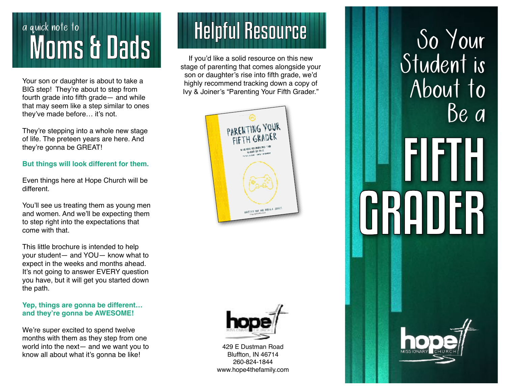## a quick note to quick note to<br>
MOMS & Dads<br>
MOMS & Dads

Your son or daughter is about to take a BIG step! They're about to step from fourth grade into fifth grade— and while that may seem like a step similar to ones they've made before… it's not.

They're stepping into a whole new stage of life. The preteen years are here. And they're gonna be GREAT!

## **But things will look different for them.**

Even things here at Hope Church will be different.

You'll see us treating them as young men and women. And we'll be expecting them to step right into the expectations that come with that.

This little brochure is intended to help your student— and YOU— know what to expect in the weeks and months ahead. It's not going to answer EVERY question you have, but it will get you started down the path.

## **Yep, things are gonna be different… and they're gonna be AWESOME!**

We're super excited to spend twelve months with them as they step from one world into the next— and we want you to know all about what it's gonna be like!

If you'd like a solid resource on this new stage of parenting that comes alongside your son or daughter's rise into fifth grade, we'd highly recommend tracking down a copy of Ivy & Joiner's "Parenting Your Fifth Grader."





429 E Dustman Road Bluffton, IN 46714 260-824-1844 www.hope4thefamily.com

# So Your Student is About to Be a F **RAQUER**